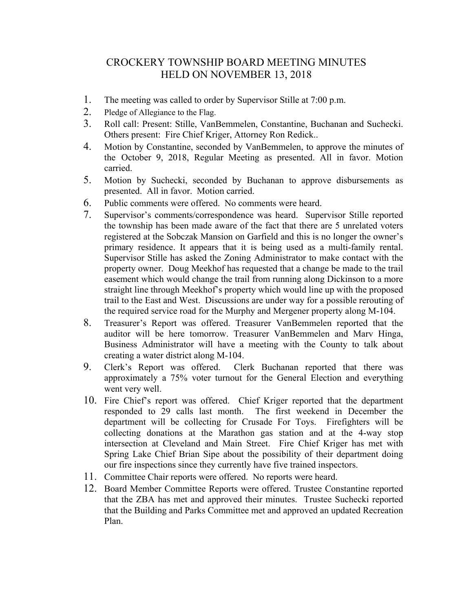## CROCKERY TOWNSHIP BOARD MEETING MINUTES HELD ON NOVEMBER 13, 2018

- 1. The meeting was called to order by Supervisor Stille at 7:00 p.m.
- 2. Pledge of Allegiance to the Flag.
- 3. Roll call: Present: Stille, VanBemmelen, Constantine, Buchanan and Suchecki. Others present: Fire Chief Kriger, Attorney Ron Redick..
- 4. Motion by Constantine, seconded by VanBemmelen, to approve the minutes of the October 9, 2018, Regular Meeting as presented. All in favor. Motion carried.
- 5. Motion by Suchecki, seconded by Buchanan to approve disbursements as presented. All in favor. Motion carried.
- 6. Public comments were offered. No comments were heard.
- 7. Supervisor's comments/correspondence was heard. Supervisor Stille reported the township has been made aware of the fact that there are 5 unrelated voters registered at the Sobczak Mansion on Garfield and this is no longer the owner's primary residence. It appears that it is being used as a multi-family rental. Supervisor Stille has asked the Zoning Administrator to make contact with the property owner. Doug Meekhof has requested that a change be made to the trail easement which would change the trail from running along Dickinson to a more straight line through Meekhof's property which would line up with the proposed trail to the East and West. Discussions are under way for a possible rerouting of the required service road for the Murphy and Mergener property along M-104.
- 8. Treasurer's Report was offered. Treasurer VanBemmelen reported that the auditor will be here tomorrow. Treasurer VanBemmelen and Marv Hinga, Business Administrator will have a meeting with the County to talk about creating a water district along M-104.
- 9. Clerk's Report was offered. Clerk Buchanan reported that there was approximately a 75% voter turnout for the General Election and everything went very well.
- 10. Fire Chief's report was offered. Chief Kriger reported that the department responded to 29 calls last month. The first weekend in December the department will be collecting for Crusade For Toys. Firefighters will be collecting donations at the Marathon gas station and at the 4-way stop intersection at Cleveland and Main Street. Fire Chief Kriger has met with Spring Lake Chief Brian Sipe about the possibility of their department doing our fire inspections since they currently have five trained inspectors.
- 11. Committee Chair reports were offered. No reports were heard.
- 12. Board Member Committee Reports were offered. Trustee Constantine reported that the ZBA has met and approved their minutes. Trustee Suchecki reported that the Building and Parks Committee met and approved an updated Recreation Plan.